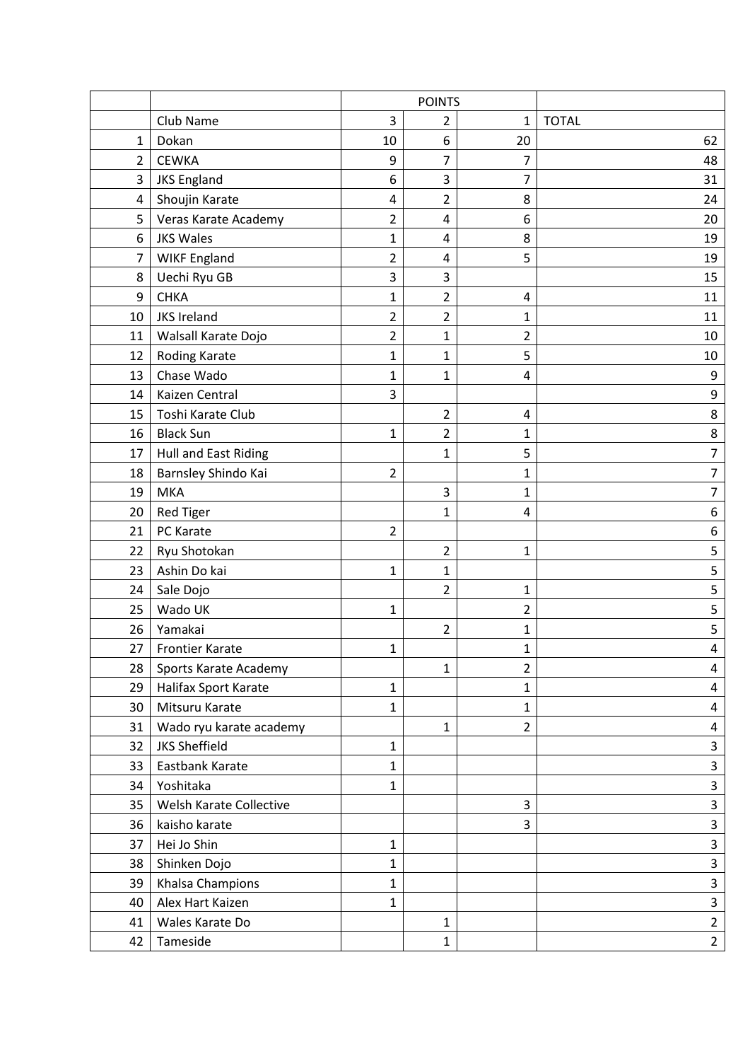|                |                             | <b>POINTS</b>  |                |                |                  |
|----------------|-----------------------------|----------------|----------------|----------------|------------------|
|                | Club Name                   | 3              | 2              | 1              | <b>TOTAL</b>     |
| $\mathbf{1}$   | Dokan                       | 10             | 6              | 20             | 62               |
| $\overline{2}$ | <b>CEWKA</b>                | 9              | 7              | 7              | 48               |
| 3              | <b>JKS England</b>          | 6              | 3              | 7              | 31               |
| $\overline{a}$ | Shoujin Karate              | $\overline{4}$ | $\overline{2}$ | 8              | 24               |
| 5              | Veras Karate Academy        | 2              | 4              | 6              | 20               |
| 6              | <b>JKS Wales</b>            | 1              | 4              | 8              | 19               |
| 7              | <b>WIKF England</b>         | 2              | 4              | 5              | 19               |
| 8              | Uechi Ryu GB                | 3              | 3              |                | 15               |
| 9              | <b>CHKA</b>                 | $\mathbf{1}$   | $\overline{2}$ | 4              | 11               |
| 10             | <b>JKS Ireland</b>          | $\overline{2}$ | $\overline{2}$ | 1              | 11               |
| 11             | Walsall Karate Dojo         | $\overline{2}$ | $\mathbf{1}$   | $\overline{2}$ | 10               |
| 12             | Roding Karate               | 1              | 1              | 5              | 10               |
| 13             | Chase Wado                  | $\mathbf{1}$   | 1              | 4              | $\boldsymbol{9}$ |
| 14             | Kaizen Central              | 3              |                |                | 9                |
| 15             | Toshi Karate Club           |                | $\overline{2}$ | 4              | 8                |
| 16             | <b>Black Sun</b>            | $\mathbf{1}$   | $\overline{2}$ | 1              | $\bf 8$          |
| 17             | <b>Hull and East Riding</b> |                | $\mathbf{1}$   | 5              | 7                |
| 18             | Barnsley Shindo Kai         | $\overline{2}$ |                | 1              | 7                |
| 19             | <b>MKA</b>                  |                | 3              | 1              | 7                |
| 20             | <b>Red Tiger</b>            |                | 1              | 4              | 6                |
| 21             | PC Karate                   | $\overline{2}$ |                |                | 6                |
| 22             | Ryu Shotokan                |                | $\overline{2}$ | 1              | 5                |
| 23             | Ashin Do kai                | 1              | 1              |                | 5                |
| 24             | Sale Dojo                   |                | 2              | 1              | 5                |
| 25             | Wado UK                     | 1              |                | 2              | 5                |
| 26             | Yamakai                     |                | 2              | 1              | 5                |
| 27             | <b>Frontier Karate</b>      | 1              |                | 1              | 4                |
| 28             | Sports Karate Academy       |                | 1              | $\overline{2}$ | 4                |
| 29             | Halifax Sport Karate        | 1              |                | $\mathbf{1}$   | 4                |
| 30             | Mitsuru Karate              | $\mathbf{1}$   |                | $\mathbf{1}$   | 4                |
| 31             | Wado ryu karate academy     |                | $\mathbf{1}$   | $\overline{2}$ | 4                |
| 32             | <b>JKS Sheffield</b>        | $\mathbf{1}$   |                |                | 3                |
| 33             | Eastbank Karate             | 1              |                |                | 3                |
| 34             | Yoshitaka                   | 1              |                |                | 3                |
| 35             | Welsh Karate Collective     |                |                | 3              | 3                |
| 36             | kaisho karate               |                |                | 3              | 3                |
| 37             | Hei Jo Shin                 | 1              |                |                | 3                |
| 38             | Shinken Dojo                | $\mathbf{1}$   |                |                | 3                |
| 39             | Khalsa Champions            | 1              |                |                | 3                |
| 40             | Alex Hart Kaizen            | 1              |                |                | 3                |
| 41             | Wales Karate Do             |                | $\mathbf{1}$   |                | $\overline{2}$   |
| 42             | Tameside                    |                | $\mathbf{1}$   |                | $\overline{2}$   |